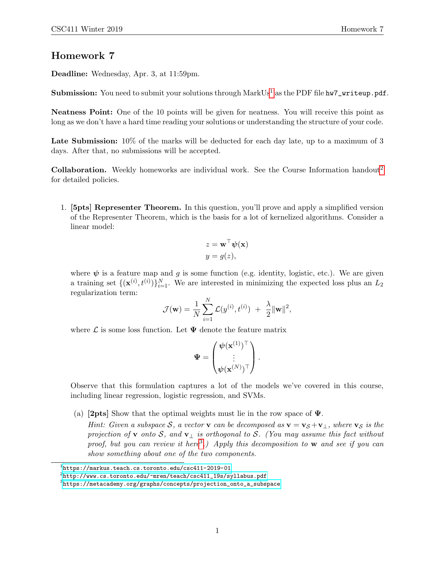## Homework 7

Deadline: Wednesday, Apr. 3, at 11:59pm.

**Submission:** You need to submit your solutions through  $MarkUs^1$  $MarkUs^1$  as the PDF file hw7\_writeup.pdf.

Neatness Point: One of the 10 points will be given for neatness. You will receive this point as long as we don't have a hard time reading your solutions or understanding the structure of your code.

Late Submission:  $10\%$  of the marks will be deducted for each day late, up to a maximum of 3 days. After that, no submissions will be accepted.

**Collaboration.** Weekly homeworks are individual work. See the Course Information handout<sup>[2](#page-0-1)</sup> for detailed policies.

1. [5pts] Representer Theorem. In this question, you'll prove and apply a simplified version of the Representer Theorem, which is the basis for a lot of kernelized algorithms. Consider a linear model:

$$
z = \mathbf{w}^\top \boldsymbol{\psi}(\mathbf{x})
$$

$$
y = g(z),
$$

where  $\psi$  is a feature map and q is some function (e.g. identity, logistic, etc.). We are given a training set  $\{(\mathbf{x}^{(i)}, t^{(i)})\}_{i=1}^N$ . We are interested in minimizing the expected loss plus an  $L_2$ regularization term:

$$
\mathcal{J}(\mathbf{w}) = \frac{1}{N} \sum_{i=1}^{N} \mathcal{L}(y^{(i)}, t^{(i)}) + \frac{\lambda}{2} ||\mathbf{w}||^2,
$$

where  $\mathcal L$  is some loss function. Let  $\Psi$  denote the feature matrix

$$
\mathbf{\Psi} = \begin{pmatrix} \mathbf{\psi}(\mathbf{x}^{(1)})^{\top} \\ \vdots \\ \mathbf{\psi}(\mathbf{x}^{(N)})^{\top} \end{pmatrix}.
$$

Observe that this formulation captures a lot of the models we've covered in this course, including linear regression, logistic regression, and SVMs.

- (a) **[2pts]** Show that the optimal weights must lie in the row space of  $\Psi$ .
	- Hint: Given a subspace S, a vector v can be decomposed as  $\mathbf{v} = \mathbf{v}_{\mathcal{S}} + \mathbf{v}_{\perp}$ , where  $\mathbf{v}_{\mathcal{S}}$  is the projection of v onto S, and v<sub>⊥</sub> is orthogonal to S. (You may assume this fact without proof, but you can review it here<sup>[3](#page-0-2)</sup>.) Apply this decomposition to **w** and see if you can show something about one of the two components.

<span id="page-0-0"></span> $^{\rm 1}$ https://markus.teach.cs.toronto.edu/csc $411$ -2019-01

<span id="page-0-1"></span> $^2$ [http://www.cs.toronto.edu/~mren/teach/csc411\\_19s/syllabus.pdf](http://www.cs.toronto.edu/~mren/teach/csc411_19s/syllabus.pdf)

<span id="page-0-2"></span> $^3$ [https://metacademy.org/graphs/concepts/projection\\_onto\\_a\\_subspace](https://metacademy.org/graphs/concepts/projection_onto_a_subspace)